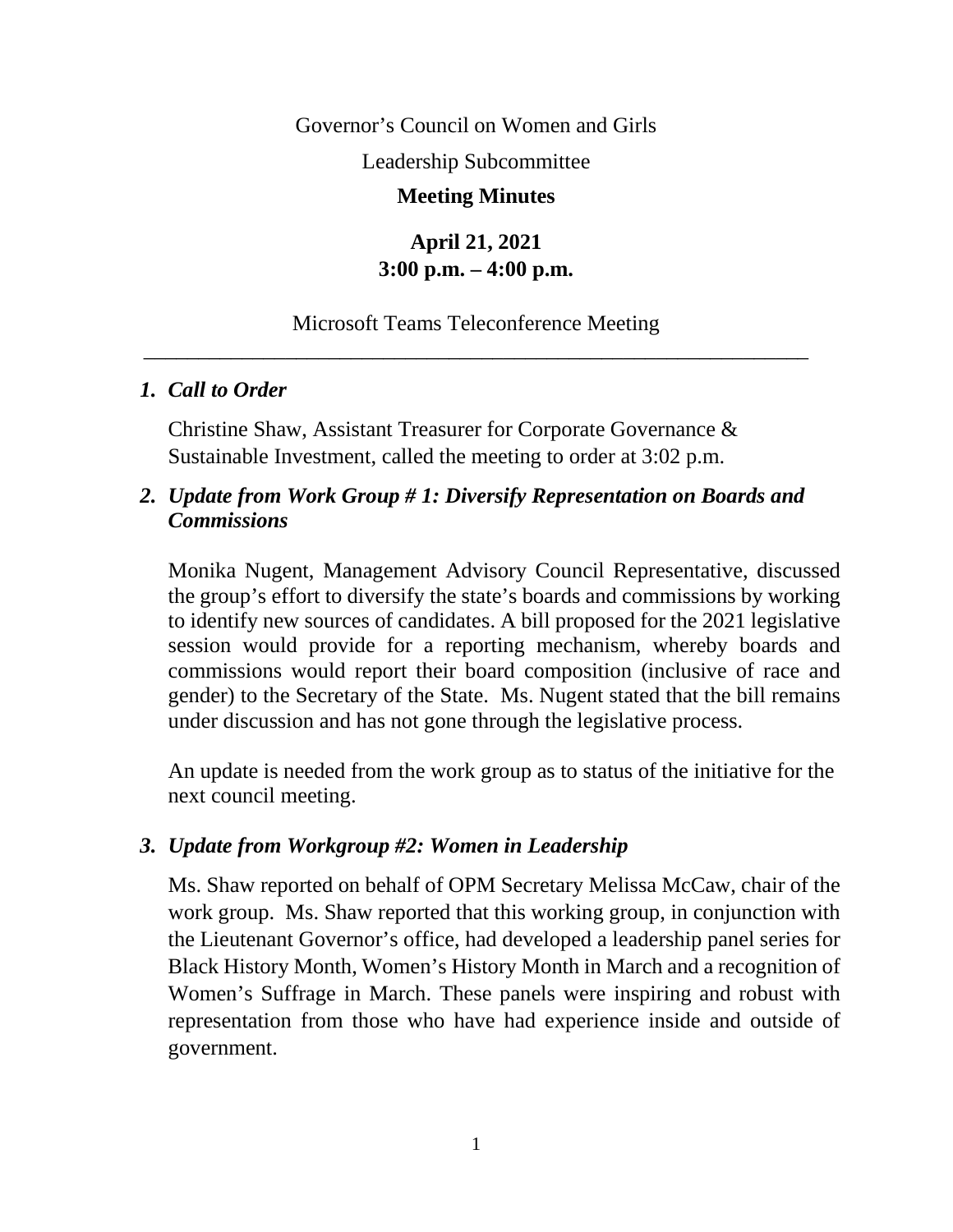Governor's Council on Women and Girls

Leadership Subcommittee

#### **Meeting Minutes**

# **April 21, 2021 3:00 p.m. – 4:00 p.m.**

## Microsoft Teams Teleconference Meeting \_\_\_\_\_\_\_\_\_\_\_\_\_\_\_\_\_\_\_\_\_\_\_\_\_\_\_\_\_\_\_\_\_\_\_\_\_\_\_\_\_\_\_\_\_\_\_\_\_\_\_\_\_\_\_\_\_\_\_\_\_

## *1. Call to Order*

Christine Shaw, Assistant Treasurer for Corporate Governance & Sustainable Investment, called the meeting to order at 3:02 p.m.

## *2. Update from Work Group # 1: Diversify Representation on Boards and Commissions*

Monika Nugent, Management Advisory Council Representative, discussed the group's effort to diversify the state's boards and commissions by working to identify new sources of candidates. A bill proposed for the 2021 legislative session would provide for a reporting mechanism, whereby boards and commissions would report their board composition (inclusive of race and gender) to the Secretary of the State. Ms. Nugent stated that the bill remains under discussion and has not gone through the legislative process.

An update is needed from the work group as to status of the initiative for the next council meeting.

#### *3. Update from Workgroup #2: Women in Leadership*

Ms. Shaw reported on behalf of OPM Secretary Melissa McCaw, chair of the work group. Ms. Shaw reported that this working group, in conjunction with the Lieutenant Governor's office, had developed a leadership panel series for Black History Month, Women's History Month in March and a recognition of Women's Suffrage in March. These panels were inspiring and robust with representation from those who have had experience inside and outside of government.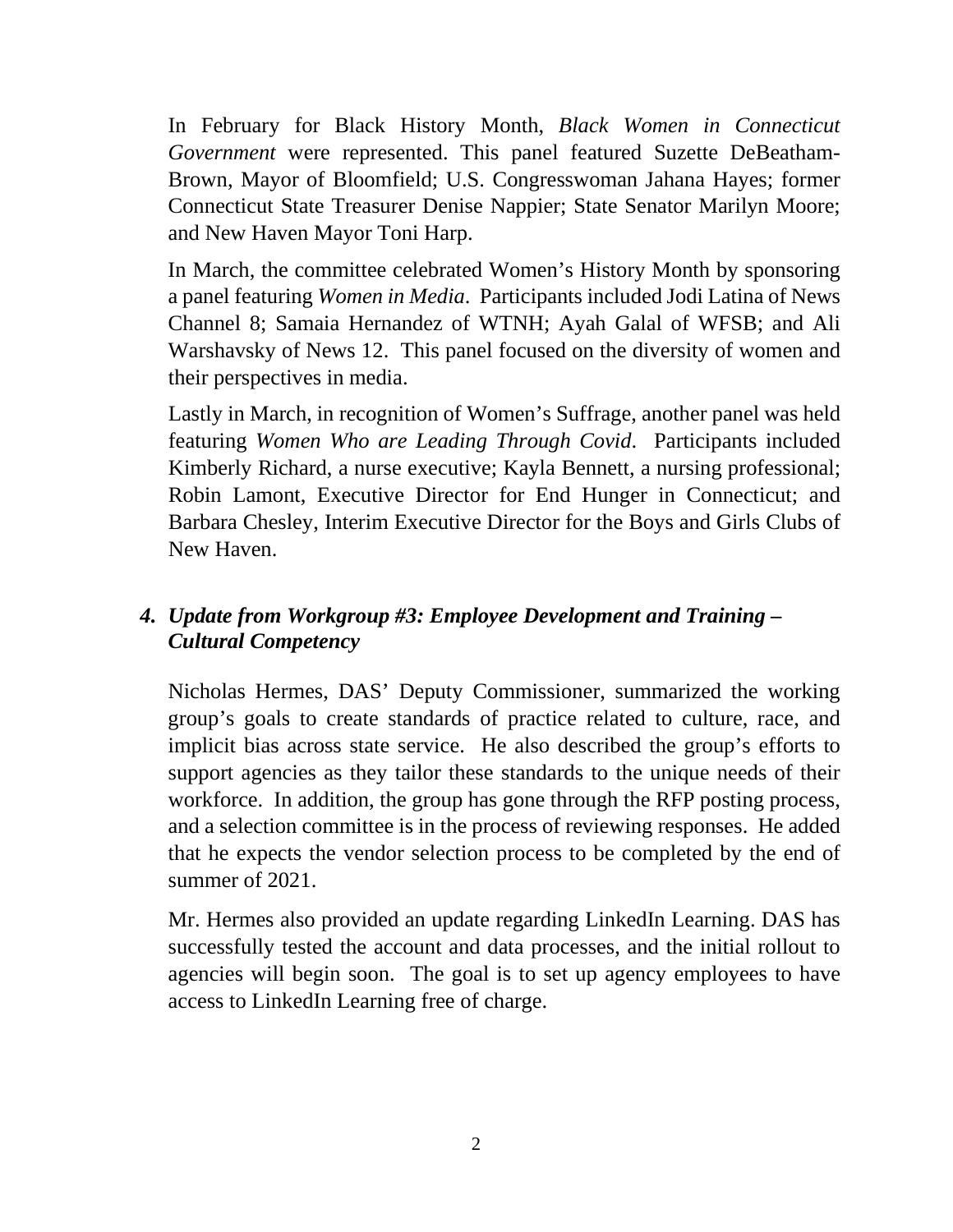In February for Black History Month, *Black Women in Connecticut Government* were represented. This panel featured Suzette DeBeatham-Brown, Mayor of Bloomfield; U.S. Congresswoman Jahana Hayes; former Connecticut State Treasurer Denise Nappier; State Senator Marilyn Moore; and New Haven Mayor Toni Harp.

In March, the committee celebrated Women's History Month by sponsoring a panel featuring *Women in Media*. Participants included Jodi Latina of News Channel 8; Samaia Hernandez of WTNH; Ayah Galal of WFSB; and Ali Warshavsky of News 12. This panel focused on the diversity of women and their perspectives in media.

Lastly in March, in recognition of Women's Suffrage, another panel was held featuring *Women Who are Leading Through Covid*. Participants included Kimberly Richard, a nurse executive; Kayla Bennett, a nursing professional; Robin Lamont, Executive Director for End Hunger in Connecticut; and Barbara Chesley, Interim Executive Director for the Boys and Girls Clubs of New Haven.

# *4. Update from Workgroup #3: Employee Development and Training – Cultural Competency*

Nicholas Hermes, DAS' Deputy Commissioner, summarized the working group's goals to create standards of practice related to culture, race, and implicit bias across state service. He also described the group's efforts to support agencies as they tailor these standards to the unique needs of their workforce. In addition, the group has gone through the RFP posting process, and a selection committee is in the process of reviewing responses. He added that he expects the vendor selection process to be completed by the end of summer of 2021.

Mr. Hermes also provided an update regarding LinkedIn Learning. DAS has successfully tested the account and data processes, and the initial rollout to agencies will begin soon. The goal is to set up agency employees to have access to LinkedIn Learning free of charge.